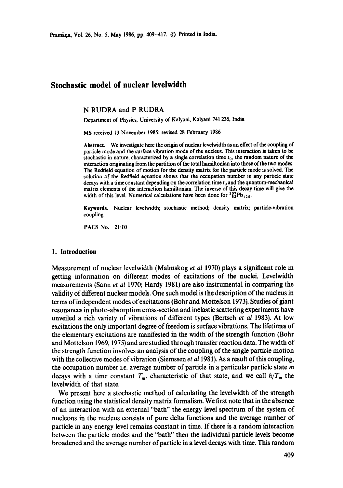# **Stochastic model of nuclear leveiwidth**

N RUDRA and P RUDRA

Department of Physics, University of Kalyani, Kalyani 741235, India

MS received 13 November 1985; revised 28 February 1986

**Abstract.** We investigate here the origin of nuclear leveiwidth as an effect of the coupling of particle mode and the surface vibration mode of the nucleus. This interaction is taken to be stochastic in nature, characterized by a single correlation time  $t<sub>0</sub>$ , the random nature of the interaction originating from the partition of the total hamiltonian into those of the two modes. The Redfield equation of motion for the density matrix for the particle mode is solved. The solution of the Redfield equation shows that the occupation number in any particle state decays with a time constant depending on the correlation time  $t_0$  and the quantum-mechanical matrix elements of the interaction hamiltonian. The inverse of this decay time will give the width of this level. Numerical calculations have been done for  ${}^{207}_{82}Pb_{125}$ .

Keywords. Nuclear levelwidth; stochastic method; density matrix; particle-vibration coupling.

PACS No. 21.10

### **1. Introduction**

Measurement of nuclear levelwidth (Malmskog *et al* 1970) plays a significant role in getting information on different modes of excitations of the nuclei. Levelwidth measurements (Sann *et al* 1970; Hardy 1981) are also instrumental in comparing the validity of different nuclear models. One such model is the description of the nucleus in terms of independent modes of excitations (Bohr and Mottelson 1973). Studies of giant resonances in photo-absorption cross-section and inelastic scattering experiments have unveiled a rich variety of vibrations of different types (Bertsch *et al* 1983). At low excitations the only important degree of freedom is surface vibrations. The lifetimes of the elementary excitations are manifested in the width of the strength function (Bohr and Mottelson 1969, 1975) and are studied through transfer reaction data. The width of the strength function involves an analysis of the coupling of the single particle motion with the collective modes of vibration (Siemssen *et al* 1981). As a result of this coupling, the occupation number i.e. average number of particle in a particular particle state  $m$ decays with a time constant  $T_m$ , characteristic of that state, and we call  $\hbar/T_m$  the levelwidth of that state.

We present here a stochastic method of calculating the levelwidth of the strength function using the statistical density matrix formalism. We first note that in the absence of an interaction with an external "bath" the energy level spectrum of the system of nucleons in the nucleus consists of pure delta functions and the average number of particle in any energy level remains constant in time. If there is a random interaction between the particle modes and the "bath" then the individual particle levels become broadened and the average number of particle in a level decays with time. This random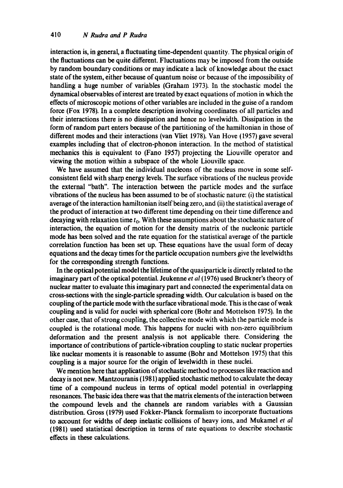interaction is, in general, a fluctuating time-dependent quantity. The physical origin of the fluctuations can be quite different. Fluctuations may be imposed from the outside by random boundary conditions or may indicate a lack of knowledge about the exact state of the system, either because of quantum noise or because of the impossibility of handling a huge number of variables (Graham 1973). In the stochastic model the dynamical observables of interest are treated by exact equations of motion in which the effects of microscopic motions of other variables are included in the guise of a random force (Fox 1978). In a complete description involving coordinates of all particles and their interactions there is no dissipation and hence no levelwidth. Dissipation in the form of random part enters because of the partitioning of the hamiltonian in those of different modes and their interactions (van Vliet 1978). Van Hove (1957) gave several examples including that of electron-phonon interaction. In the method of statistical mechanics this is equivalent to (Fano 1957) projecting the Liouville operator and viewing the motion within a subspace of the whole Liouville space.

We have assumed that the individual nucleons of the nucleus move in some selfconsistent field with sharp energy levels. The surface vibrations of the nucleus provide the external "bath". The interaction between the particle modes and the surface vibrations of the nucleus has been assumed to be of stochastic nature: (i) the statistical average of the interaction hamiltonian itself being zero, and (ii) the statistical average of the product of interaction at two different time depending on their time difference and decaying with relaxation time  $t_0$ . With these assumptions about the stochastic nature of interaction, the equation of motion for the density matrix of the nucleonic particle mode has been solved and the rate equation for the statistical average of the particle correlation function has been set up. These equations have the usual form of decay equations and the decay times for the particle occupation numbers give the levelwidths for the corresponding strength functions.

In the optical potential model the lifetime of the quasiparticle is directly related to the imaginary part of the optical potential. Jeukenne *et al* (1976) used Bruckner's theory of nuclear matter to evaluate this imaginary part and connected the experimental data on cross-sections with the single-particle spreading width. Our calculation is based on the coupling of the particle mode with the surface vibrational mode. This is the case of weak coupling and is valid for nuclei with spherical core (Bohr and Mottelson 1975). In the other case, that of strong coupling, the collective mode with which the particle mode is coupled is the rotational mode. This happens for nuclei with non-zero equilibrium deformation and the present analysis is not applicable there. Considering the importance of contributions of particle-vibration coupling to static nuclear properties like nuclear moments it is reasonable to assume (Bohr and Mottelson 1975) that this coupling is a major source for the origin of levelwidth in these nuclei.

We mention here that application of stochastic method to processes like reaction and decay is not new. Mantzouranis (1981) applied stochastic method to calculate the decay time of a compound nucleus in terms of optical model potential in overlapping resonances. The basic idea there was that the matrix elements of the interaction between the compound levels and the channels are random variables with a Gaussian distribution. Gross (1979) used Fokker-Planck formalism to incorporate fluctuations to account for widths of deep inelastic collisions of heavy ions, and Mukamel *et al*  (1981) used statistical description in terms of rate equations to describe stochastic effects in these calculations.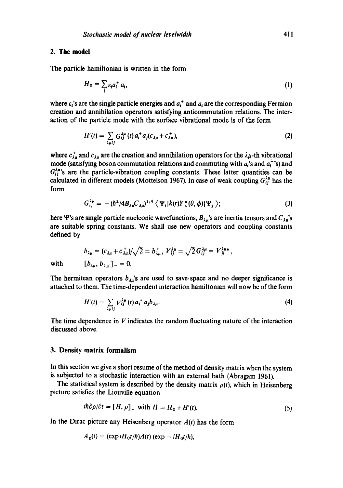### 2. The model

The particle hamiltonian is written in the form

$$
H_0 = \sum_i \varepsilon_i a_i^+ a_i,\tag{1}
$$

where  $\varepsilon_i$ 's are the single particle energies and  $a_i^+$  and  $a_i$  are the corresponding Fermion creation and annihilation operators satisfying anticommutation relations. The interaction of the particle mode with the surface vibrational mode is of the form

$$
H'(t) = \sum_{\lambda \mu i j} G_{ij}^{\lambda \mu} (t) a_i^+ a_j (c_{\lambda \mu} + c_{\lambda \mu}^+),
$$
 (2)

where  $c_{\lambda\mu}^+$  and  $c_{\lambda\mu}$  are the creation and annihilation operators for the  $\lambda\mu$ -th vibrational mode (satisfying boson commutation relations and commuting with  $a_i$ 's and  $a_i^+$ 's) and  $G_{ii}^{\lambda\mu}$ 's are the particle-vibration coupling constants. These latter quantities can be calculated in different models (Mottelson 1967). In case of weak coupling  $G_{ii}^{\lambda\mu}$  has the form

$$
G_{ij}^{\lambda\mu} = -(\hbar^2/4B_{\lambda\mu}C_{\lambda\mu})^{1/4} \left\langle \Psi_i|k(r)Y_{\lambda}^{\mu}(\theta,\phi)|\Psi_j\right\rangle; \tag{3}
$$

here  $\Psi$ 's are single particle nucleonic wavefunctions,  $B_{\lambda\mu}$ 's are inertia tensors and  $C_{\lambda\mu}$ 's are suitable spring constants. We shall use new operators and coupling constants defined by

$$
b_{\lambda\mu} = (c_{\lambda\mu} + c_{\lambda\mu}^*)/\sqrt{2} = b_{\lambda\mu}^*, V_{ij}^{\lambda\mu} = \sqrt{2} G_{ij}^{\lambda\mu} = V_{ji}^{\lambda\mu*},
$$
  

$$
[b_{\lambda\mu}, b_{\lambda'\mu'}]_-=0.
$$

with

The hermitean operators  $b_{\lambda\mu}$ 's are used to save space and no deeper significance is attached to them. The time-dependent interaction hamiltonian will now be of the form

$$
H'(t) = \sum_{\lambda \mu ij} V_{ij}^{\lambda \mu}(t) a_i^+ a_j b_{\lambda \mu}.
$$
 (4)

The time dependence in  $V$  indicates the random fluctuating nature of the interaction discussed above.

### **3. Density matrix formalism**

In this section we give a short resume of the method of density matrix when the system is subjected to a stochastic interaction with an external bath (Abragam 1961).

The statistical system is described by the density matrix  $\rho(t)$ , which in Heisenberg picture satisfies the Liouville equation

$$
i\hbar \partial \rho/\partial t = [H, \rho] \quad \text{with } H = H_0 + H'(t). \tag{5}
$$

In the Dirac picture any Heisenberg operator *A(t)* has the form

$$
A_{\text{D}}(t) = (\exp i H_0 t/\hbar) A(t) (\exp -i H_0 t/\hbar),
$$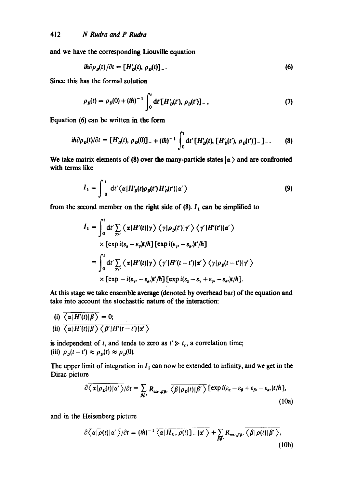and we have the corresponding Liouville equation

$$
i\hbar \partial \rho_D(t)/\partial t = [H'_D(t), \rho_D(t)]_-\,. \tag{6}
$$

Since this has the formal solution

$$
\rho_D(t) = \rho_D(0) + (i\hbar)^{-1} \int_0^t dt' [H'_D(t'), \rho_D(t')]_-, \qquad (7)
$$

Equation (6) can be written in the form

$$
i\hbar \partial \rho_D(t)/\partial t = [H'_D(t), \rho_D(0)]_- + (i\hbar)^{-1} \int_0^t dt' [H'_D(t), [H'_D(t'), \rho_D(t')]_- ]_-\,. \tag{8}
$$

We take matrix elements of (8) over the many-particle states  $|\alpha\rangle$  and are confronted with terms like

$$
I_1 = \int_0^t dt' \langle \alpha | H'_D(t) \rho_D(t') | H'_D(t') | \alpha' \rangle
$$
\n(9)

from the second member on the right side of (8).  $I_1$  can be simplified to

$$
I_1 = \int_0^t dt' \sum_{\gamma\gamma'} \langle \alpha | H'(t) | \gamma \rangle \langle \gamma | \rho_D(t') | \gamma' \rangle \langle \gamma' | H'(t') | \alpha' \rangle
$$
  
× [exp *i*( $\varepsilon_a - \varepsilon_{\gamma}$ )*t*/ $\hbar$ ][ exp *i*( $\varepsilon_{\gamma}$ , -  $\varepsilon_{\alpha}$ )*t*'/ $\hbar$ ]  
= 
$$
\int_0^t dt' \sum_{\gamma\gamma'} \langle \alpha | H'(t) | \gamma \rangle \langle \gamma' | H'(t-t') | \alpha' \rangle \langle \gamma | \rho_D(t-t') | \gamma' \rangle
$$
  
× [exp - *i*( $\varepsilon_{\gamma}$ , -  $\varepsilon_{\alpha}$ )*t*/ $\hbar$ ][ exp *i*( $\varepsilon_{\alpha}$  -  $\varepsilon_{\gamma}$ , +  $\varepsilon_{\gamma}$ , -  $\varepsilon_{\alpha}$ )*t*/ $\hbar$ ].

At this stage we take ensemble average (denoted by overhead bar) of the equation and take into account the stochasttic nature of the interaction:

(i) 
$$
\overline{\langle \alpha | H'(t) | \beta \rangle} = 0;
$$
  
\n(ii)  $\overline{\langle \alpha | H'(t) | \beta \rangle \langle \beta' | H'(t-t') | \alpha' \rangle}$ 

is independent of t, and tends to zero as  $t' \geq t_c$ , a correlation time; (iii)  $\rho_p(t-t') \approx \rho_p(t) \approx \rho_p(0)$ .

The upper limit of integration in  $I_1$  can now be extended to infinity, and we get in the Dirac picture

$$
\partial \overline{\langle \alpha | \rho_D(t) | \alpha' \rangle} / \partial t = \sum_{\beta \beta'} R_{\alpha \alpha', \beta \beta'} \overline{\langle \beta | \rho_D(t) | \beta' \rangle} \left[ \exp i(\varepsilon_{\alpha} - \varepsilon_{\beta} + \varepsilon_{\beta'} - \varepsilon_{\alpha'}) t / \hbar \right],
$$
\n(10a)

and in the Heisenberg picture

$$
\frac{\partial \overline{\langle \alpha | \rho(t) | \alpha'} \rangle}{\partial t} = (i\hbar)^{-1} \overline{\langle \alpha | H_0, \rho(t) \rangle} - |\alpha' \rangle} + \sum_{\beta \beta'} R_{\alpha \alpha', \beta \beta'} \overline{\langle \beta | \rho(t) | \beta' \rangle},
$$
\n(10b)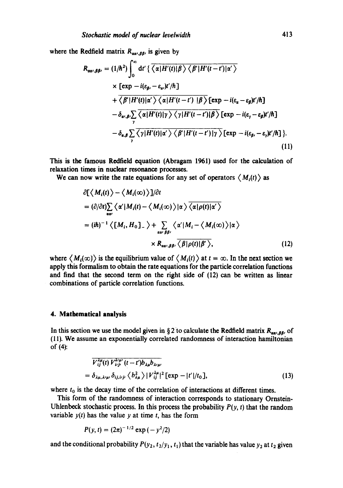where the Redfield matrix  $R_{\alpha\alpha\beta\beta}$ , is given by

$$
R_{\alpha\alpha^{\prime},\beta\beta^{\prime}} = (1/\hbar^{2}) \int_{0}^{\infty} dt' \left\{ \overline{\langle \alpha | H'(t) | \beta \rangle \langle \beta^{\prime} | H'(t-t') | \alpha^{\prime} \rangle} \right.\times \left[ exp - i(\varepsilon_{\beta^{\prime}} - \varepsilon_{\alpha^{\prime}})t'/\hbar \right]+ \overline{\langle \beta^{\prime} | H'(t) | \alpha^{\prime} \rangle \langle \alpha | H'(t-t') | \beta \rangle} \left[ exp - i(\varepsilon_{\alpha} - \varepsilon_{\beta})t'/\hbar \right]- \delta_{\alpha^{\prime},\beta^{\prime}} \sum_{\gamma} \overline{\langle \alpha | H'(t) | \gamma \rangle \langle \gamma | H'(t-t') | \beta \rangle} \left[ exp - i(\varepsilon_{\gamma} - \varepsilon_{\beta})t'/\hbar \right]- \delta_{\alpha,\beta} \sum_{\gamma} \overline{\langle \gamma | H'(t) | \alpha^{\prime} \rangle \langle \beta^{\prime} | H'(t-t') | \gamma \rangle} \left[ exp - i(\varepsilon_{\beta^{\prime}} - \varepsilon_{\gamma})t'/\hbar \right].
$$
\n(11)

This is the famous Redfield equation (Abragam 1961) used for the calculation of relaxation times in nuclear resonance processes.

We can now write the rate equations for any set of operators  $\langle M_i(t) \rangle$  as

$$
\partial \left[ \langle M_i(t) \rangle - \langle M_i(\infty) \rangle \right] / \partial t
$$
\n
$$
= (\partial/\partial t) \sum_{\alpha \alpha'} \langle \alpha' | M_i(t) - \langle M_i(\infty) \rangle | \alpha \rangle \overline{\langle \alpha | \rho(t) | \alpha' \rangle}
$$
\n
$$
= (i\hbar)^{-1} \langle [M_i, H_0]_{-} \rangle + \sum_{\alpha \alpha' \beta \beta'} \langle \alpha' | M_i - \langle M_i(\infty) \rangle | \alpha \rangle
$$
\n
$$
\times R_{\alpha \alpha', \beta \beta'} \overline{\langle \beta | \rho(t) | \beta' \rangle}, \qquad (12)
$$

where  $\langle M_i(\infty) \rangle$  is the equilibrium value of  $\langle M_i(t) \rangle$  at  $t = \infty$ . In the next section we apply this formalism to obtain the rate equations for the particle correlation functions and find that the second term on the right side of (12) can be written as linear combinations of particle correlation functions.

#### **4. Mathematical analysis**

In this section we use the model given in § 2 to calculate the Redfield matrix  $R_{\alpha\alpha\beta}$  of (11). We assume an exponentially correlated randomness of interaction hamiltonian of (4):

$$
\overline{V_{ij}^{\lambda\mu}(t)V_{i\,j\,\nu}^{\lambda'\mu}(t-t')b_{\lambda\mu}b_{\lambda'\mu'}} = \delta_{\lambda\mu,\lambda'\mu'}\delta_{ij,i\,\mu'\gamma'}\langle b_{\lambda\mu}^2\rangle |V_{ij}^{\lambda\mu}|^2 [\exp - |t'|/t_0],
$$
\n(13)

where  $t_0$  is the decay time of the correlation of interactions at different times.

This form of the randomness of interaction corresponds to stationary Ornstein-Uhlenbeck stochastic process. In this process the probability  $P(y, t)$  that the random variable  $y(t)$  has the value y at time t, has the form

$$
P(y, t) = (2\pi)^{-1/2} \exp(-y^2/2)
$$

and the conditional probability  $P(y_2, t_2/y_1, t_1)$  that the variable has value  $y_2$  at  $t_2$  given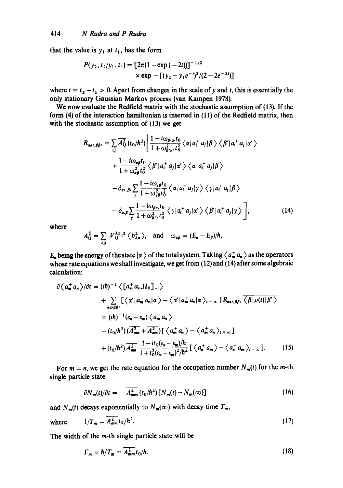that the value is  $y_1$  at  $t_1$ , has the form

$$
P(y_2, t_2/y_1, t_1) = [2\pi(1 - \exp(-2t))]^{-1/2}
$$
  
× exp - [(y<sub>2</sub> - y<sub>1</sub>e<sup>-1</sup>)<sup>2</sup>/(2 - 2e<sup>-2t</sup>)]

where  $t = t_2 - t_1 > 0$ . Apart from changes in the scale of y and t, this is essentially the only stationary Gaussian Markov process (van Kampen 1978).

We now evaluate the Redfield matrix with the stochastic assumption of (13). If the form (4) of the interaction hamiltonian is inserted in (11) of the Redfield matrix, then with the stochastic assumption of (13) we get

$$
R_{\alpha\alpha',\beta\beta'} = \sum_{ij} \overline{A_{ij}^2} (t_0/\hbar^2) \Biggl[ \frac{1 - i\omega_{\beta'\alpha'} t_0}{1 + \omega_{\beta'\alpha'}^2 t_0^2} \langle \alpha | a_i^+ a_j | \beta \rangle \langle \beta' | a_i^+ a_j | \alpha' \rangle + \frac{1 - i\omega_{\alpha\beta} t_0}{1 + \omega_{\alpha\beta}^2 t_0^2} \langle \beta' | a_i^+ a_j | \alpha' \rangle \langle \alpha | a_i^+ a_j | \beta \rangle - \delta_{\alpha',\beta'} \sum_{\gamma} \frac{1 - i\omega_{\gamma\beta} t_0}{1 + \omega_{\gamma\beta}^2 t_0^2} \langle \alpha | a_i^+ a_j | \gamma \rangle \langle \gamma | a_i^+ a_j | \beta \rangle - \delta_{\alpha,\beta} \sum_{\gamma} \frac{1 - i\omega_{\beta'\gamma} t_0}{1 + \omega_{\beta'\gamma}^2 t_0^2} \langle \gamma | a_i^+ a_j | \alpha' \rangle \langle \beta' | a_i^+ a_j | \gamma \rangle \Biggr], \tag{14}
$$

**where** 

$$
\overline{A}_{ij}^2 = \sum_{\lambda\mu} |\mathcal{V}_{ij}^{\lambda\mu}|^2 \left\langle b_{\lambda\mu}^2 \right\rangle, \text{ and } \omega_{\alpha\beta} = (E_{\alpha} - E_{\beta})/\hbar,
$$

 $E_a$  being the energy of the state  $|\alpha\rangle$  of the total system. Taking  $\langle a_m^+ a_n \rangle$  as the operators whose rate equations we shall investigate, we get from (12) and (14) after some algebraic calculation:

$$
\partial \langle a_m^+ a_n \rangle / \partial t = (i\hbar)^{-1} \langle \left[a_m^+ a_n, H_0 \right]_{-} \rangle
$$
  
+ 
$$
\sum_{\alpha \in \beta \beta'} [\langle \alpha' | a_m^+ a_n | \alpha \rangle - \langle \alpha' | a_m^+ a_n | \alpha \rangle_{t = \infty}] R_{\alpha \alpha, \beta \beta'} \overline{\langle \beta | \rho(t) | \beta' \rangle}
$$
  
= 
$$
(i\hbar)^{-1} (\varepsilon_n - \varepsilon_m) \langle a_m^+ a_n \rangle
$$
  
- 
$$
(t_0/\hbar^2) (\overline{A}_{mn}^2 + \overline{A}_{nm}^2) [\langle a_m^+ a_n \rangle - \langle a_m^+ a_n \rangle_{t = \infty}]
$$
  
+ 
$$
(t_0/\hbar^2) \overline{A}_{nm}^2 \frac{1 - it_0(\varepsilon_n - \varepsilon_m)/\hbar}{1 + t_0^2(\varepsilon_n - \varepsilon_m)^2/\hbar^2} [\langle a_n^+ a_m \rangle - \langle a_n^+ a_m \rangle_{t = \infty}].
$$
 (15)

For  $m = n$ , we get the rate equation for the occupation number  $N_m(t)$  for the m-th single particle state

$$
\partial N_m(t)/\partial t = -\overline{A_{mm}^2}(t_0/\hbar^2)[N_m(t)-N_m(\infty)] \qquad (16)
$$

and  $N_m(t)$  decays exponentially to  $N_m(\infty)$  with decay time  $T_m$ ,

where 
$$
1/T_m = \overline{A_{mm}^2} t_0 / \hbar^2.
$$
 (17)

The width of the m-th single particle state will be

$$
\Gamma_m = \hbar / T_m = A_{mm}^2 t_0 / \hbar. \tag{18}
$$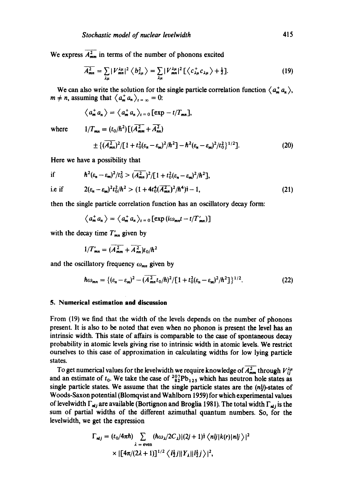We express  $\overline{A_{mm}^2}$  in terms of the number of phonons excited

$$
\overline{A_{mn}^2} = \sum_{\lambda\mu} |V_{mn}^{\lambda\mu}|^2 \left\langle b_{\lambda\mu}^2 \right\rangle = \sum_{\lambda\mu} |V_{mn}^{\lambda\mu}|^2 \left[ \left\langle c_{\lambda\mu}^+ c_{\lambda\mu} \right\rangle + \frac{1}{2} \right]. \tag{19}
$$

We can also write the solution for the single particle correlation function  $\langle a_m^+ a_n \rangle$ ,  $m \neq n$ , assuming that  $\langle a_m^+ a_n \rangle_{t = \infty} = 0$ :

$$
\langle a_m^+ a_n \rangle = \langle a_m^+ a_n \rangle_{t=0} [\exp -t/T_{mn}],
$$

where  $\frac{1}{2}$ 

$$
T_{mn} = (t_0/\hbar^2) \left[ (\overline{A_{nm}^2} + \overline{A_{nn}^2}) \right]
$$
  
 
$$
\pm \left\{ (\overline{A_{mn}^2})^2 / \left[ 1 + t_0^2 (\varepsilon_n - \varepsilon_m)^2 / \hbar^2 \right] - \hbar^2 (\varepsilon_n - \varepsilon_m)^2 / t_0^2 \right\}^{1/2}.
$$
 (20)

Here we have a possibility that

if 
$$
\hbar^2(\varepsilon_n - \varepsilon_m)^2/t_0^2 > (\overline{A_{mn}^2})^2/[1 + t_0^2(\varepsilon_n - \varepsilon_m)^2/\hbar^2],
$$
  
\ni.e if  $2(\varepsilon_n - \varepsilon_m)^2 t_0^2/\hbar^2 > (1 + 4t_0^4(\overline{A_{mn}^2})^2/\hbar^4)^{\frac{1}{2}} - 1,$  (21)

then the single particle correlation function has an oscillatory decay form:

$$
\langle a_m^+ a_n \rangle = \langle a_m^+ a_n \rangle_{t=0} [\exp(i\omega_{mn}t - t/T'_{mn})]
$$

with the decay time  $T'_{mn}$  given by

$$
1/T'_{mn} = (\overline{A_{mm}^2} + \overline{A_{nn}^2})t_0/\hbar^2
$$

and the oscillatory frequency  $\omega_{mn}$  given by

$$
\hbar\omega_{mn} = \{ (\varepsilon_n - \varepsilon_m)^2 - (\overline{A_{mn}^2} t_0/\hbar)^2 / [1 + t_0^2 (\varepsilon_n - \varepsilon_m)^2 / \hbar^2] \}^{1/2}.
$$
 (22)

#### **5. Numerical estimation and discussion**

From (19) we find that the width of the levels depends on the number of phonons present. It is also to be noted that even when no phonon is present the level has an intrinsic width. This state of affairs is comparable to the case of spontaneous decay probability in atomic levels giving rise to intrinsic width in atomic levels. We restrict ourselves to this case of approximation in calculating widths for low lying particle states.

To get numerical values for the levelwidth we require knowledge of  $\overline{A_{mm}^2}$  through  $V_{ij}^{\lambda\mu}$ and an estimate of  $t_0$ . We take the case of  ${}^{207}_{82}Pb_{125}$  which has neutron hole states as single particle states. We assume that the single particle states are the  $(n/j)$ -states of Woods-Saxon potential (Blomqvist and Wahlbom 1959) for which experimental values of levelwidth  $\Gamma_{nl}$  are available (Bortignon and Broglia 1981). The total width  $\Gamma_{nl}$  is the sum of partial widths of the different azimuthal quantum numbers. So, for the levelwidth, we get the expression

$$
\Gamma_{\mathbf{n}ij} = (t_0/4\pi\hbar) \sum_{\lambda = \text{even}} (\hbar \omega_\lambda/2C_\lambda) |(2j+1) \frac{1}{2} \langle \mathbf{n}ij|k(\mathbf{r})|\mathbf{n}ij \rangle|^2
$$
  
 
$$
\times |[4\pi/(2\lambda+1)]^{1/2} \langle \mathbf{l}_2^2 j||Y_\lambda||\mathbf{l}_2^2 j \rangle|^2,
$$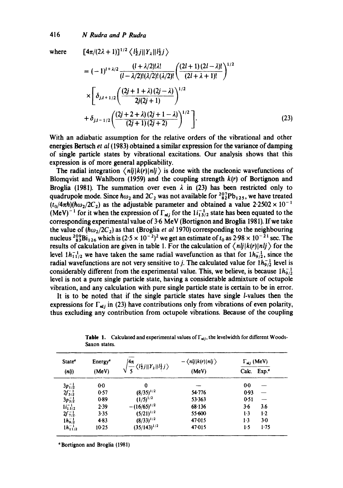### 416 *N Rudra and P Rudra*

where  $[4\pi/(2\lambda+1)]^{1/2} \langle l_2^1 j || Y_{\lambda} || l_2^1 j \rangle$ 

$$
= (-1)^{i + \lambda/2} \frac{(i + \lambda/2)! \lambda!}{(i - \lambda/2)! (\lambda/2)! (\lambda/2)!} \left( \frac{(2i + 1) (2i - \lambda)!}{(2i + \lambda + 1)!} \right)^{1/2}
$$
  
 
$$
\times \left[ \delta_{j,i+1/2} \left( \frac{(2j + 1 + \lambda) (2j - \lambda)}{2j(2j + 1)} \right)^{1/2} + \delta_{j,i-1/2} \left( \frac{(2j + 2 + \lambda) (2j + 1 - \lambda)}{(2j + 1) (2j + 2)} \right)^{1/2} \right].
$$
 (23)

With an adiabatic assumption for the relative orders of the vibrational and other energies Bcrtsch *et al* (1983) obtained a similar expression for the variance of damping of single particle states by vibrational excitations. Our analysis shows that this expression is of more general applicability.

The radial integration  $\langle nlj|k(r)|nlj\rangle$  is done with the nucleonic wavefunctions of Blomqvist and Wahlborn (1959) and the coupling strength  $k(r)$  of Bortignon and Broglia (1981). The summation over even  $\lambda$  in (23) has been restricted only to quadrupole mode. Since  $\hbar \omega_2$  and  $2C_2$  was not available for  ${}^{207}_{82}Pb_{125}$ , we have treated  $(t_0/4\pi\hbar)(\hbar\omega_2/2C_2)$  as the adjustable parameter and obtained a value  $2.2502 \times 10^{-1}$ (MeV)<sup>-1</sup> for it when the expression of  $\Gamma_{nl}$  for the  $1i_{13/2}^{-1}$  state has been equated to the corresponding experimental value of 3.6 MeV (Bortignon and Broglia 1981). If we take the value of  $(\hbar \omega_2/2C_2)$  as that (Broglia *et al 1970)* corresponding to the neighbouring nucleus  $^{209}_{83}Bi_{126}$  which is  $(2.5 \times 10^{-2})^2$  we get an estimate of  $t_0$  as  $2.98 \times 10^{-21}$  sec. The results of calculation are given in table 1. For the calculation of  $\langle nij|k(r)|nlj\rangle$  for the level  $1h_{1/2}^{-1}$  we have taken the same radial wavefunction as that for  $1h_{9/2}^{-1}$ , since the radial wavefunctions are not very sensitive to *j*. The calculated value for  $1h_{9/2}^{-1}$  level is considerably different from the experimental value. This, we believe, is because  $1h_{9/2}^{-1}$ level is not a pure single particle state, having a considerable admixture of octupole vibration, and any calculation with pure single particle state is certain to be in error.

It is to be noted that if the single particle states have single /-values then the expressions for  $\Gamma_{ni}$  in (23) have contributions only from vibrations of even polarity, thus excluding any contribution from octupole vibrations. Because of the coupling

| State <sup>ª</sup><br>(n j) | Energy <sup>®</sup><br>(MeV) | $4\pi$<br>$\frac{1}{2} \langle l_2^1 j    Y_2    l_2^1 j \rangle$ | $-\langle nlj k(r) nlj\rangle$<br>(MeV) | $\Gamma_{\text{mlj}}$ (MeV) |                   |
|-----------------------------|------------------------------|-------------------------------------------------------------------|-----------------------------------------|-----------------------------|-------------------|
|                             |                              |                                                                   |                                         | Calc.                       | Exp. <sup>a</sup> |
| $3p_1^{\{-\}}$              | $0-0$                        | 0                                                                 |                                         | 0.0                         |                   |
| $2f_{5/2}^{-1}$             | 0.57                         | $(8/35)^{1/2}$                                                    | 54.776                                  | 0.93                        |                   |
| $3p_{3/2}^{-1}$             | 0.89                         | $(1/5)^{1/2}$                                                     | 53.363                                  | 0.51                        |                   |
| $1i_{13/2}^{-1}$            | 2.39                         | $-(16/65)^{1/2}$                                                  | 68.136                                  | $3 - 6$                     | 3.6               |
| $2f_{7/2}^{-1}$             | 3.35                         | $(5/21)^{1/2}$                                                    | 55.600                                  | $1-3$                       | 1.2               |
| $1h_{9/2}^{-1}$             | 4.83                         | $(8/33)^{1/2}$                                                    | 47.015                                  | 1.3                         | $3-0$             |
| $1h_{11/2}^{-1}$            | $10-25$                      | $(35/143)^{1/2}$                                                  | 47.015                                  | 1.5                         | 1.75              |

**Table 1.** Calculated and experimental values of  $\Gamma_{mlj}$ , the levelwidth for different Woods-Saxon states.

°Bortignon and Broglia (1981)